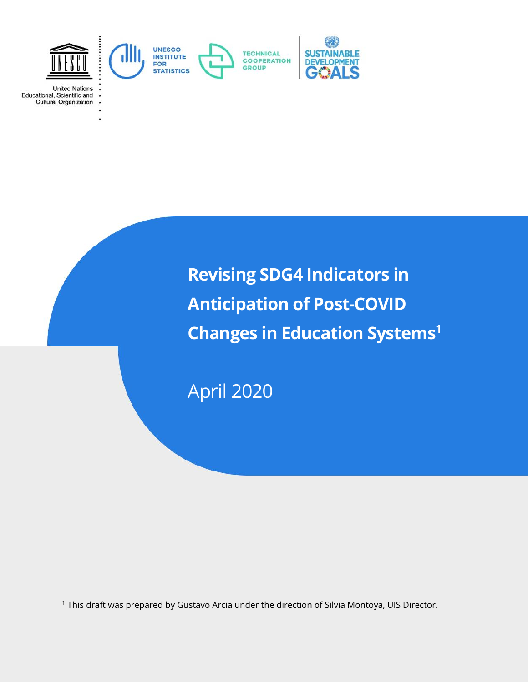

**United Nations** Educational, Scientific and **Cultural Organization** 

> **Revising SDG4 Indicators in Anticipation of Post-COVID Changes in Education Systems<sup>1</sup>**

April 2020

<sup>1</sup> This draft was prepared by Gustavo Arcia under the direction of Silvia Montoya, UIS Director.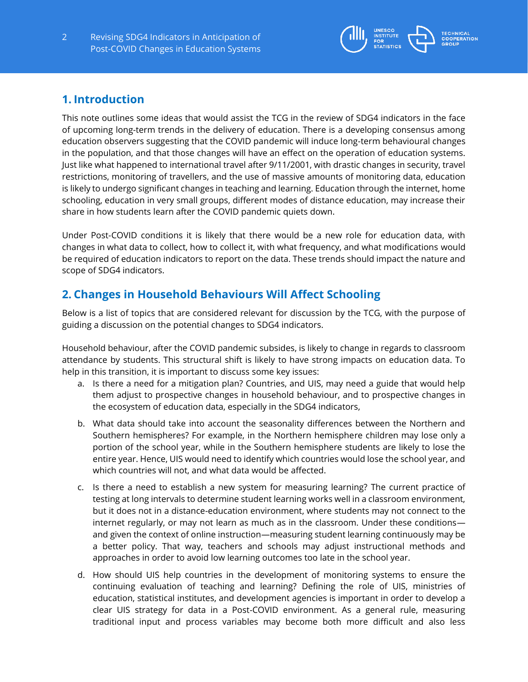

# **1. Introduction**

This note outlines some ideas that would assist the TCG in the review of SDG4 indicators in the face of upcoming long-term trends in the delivery of education. There is a developing consensus among education observers suggesting that the COVID pandemic will induce long-term behavioural changes in the population, and that those changes will have an effect on the operation of education systems. Just like what happened to international travel after 9/11/2001, with drastic changes in security, travel restrictions, monitoring of travellers, and the use of massive amounts of monitoring data, education is likely to undergo significant changes in teaching and learning. Education through the internet, home schooling, education in very small groups, different modes of distance education, may increase their share in how students learn after the COVID pandemic quiets down.

Under Post-COVID conditions it is likely that there would be a new role for education data, with changes in what data to collect, how to collect it, with what frequency, and what modifications would be required of education indicators to report on the data. These trends should impact the nature and scope of SDG4 indicators.

# **2. Changes in Household Behaviours Will Affect Schooling**

Below is a list of topics that are considered relevant for discussion by the TCG, with the purpose of guiding a discussion on the potential changes to SDG4 indicators.

Household behaviour, after the COVID pandemic subsides, is likely to change in regards to classroom attendance by students. This structural shift is likely to have strong impacts on education data. To help in this transition, it is important to discuss some key issues:

- a. Is there a need for a mitigation plan? Countries, and UIS, may need a guide that would help them adjust to prospective changes in household behaviour, and to prospective changes in the ecosystem of education data, especially in the SDG4 indicators,
- b. What data should take into account the seasonality differences between the Northern and Southern hemispheres? For example, in the Northern hemisphere children may lose only a portion of the school year, while in the Southern hemisphere students are likely to lose the entire year. Hence, UIS would need to identify which countries would lose the school year, and which countries will not, and what data would be affected.
- c. Is there a need to establish a new system for measuring learning? The current practice of testing at long intervals to determine student learning works well in a classroom environment, but it does not in a distance-education environment, where students may not connect to the internet regularly, or may not learn as much as in the classroom. Under these conditions and given the context of online instruction—measuring student learning continuously may be a better policy. That way, teachers and schools may adjust instructional methods and approaches in order to avoid low learning outcomes too late in the school year.
- d. How should UIS help countries in the development of monitoring systems to ensure the continuing evaluation of teaching and learning? Defining the role of UIS, ministries of education, statistical institutes, and development agencies is important in order to develop a clear UIS strategy for data in a Post-COVID environment. As a general rule, measuring traditional input and process variables may become both more difficult and also less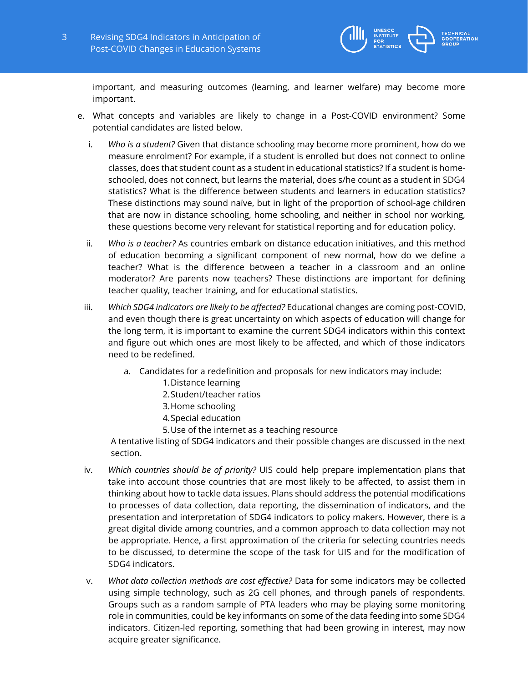

important, and measuring outcomes (learning, and learner welfare) may become more important.

- e. What concepts and variables are likely to change in a Post-COVID environment? Some potential candidates are listed below.
	- i. *Who is a student?* Given that distance schooling may become more prominent, how do we measure enrolment? For example, if a student is enrolled but does not connect to online classes, does that student count as a student in educational statistics? If a student is homeschooled, does not connect, but learns the material, does s/he count as a student in SDG4 statistics? What is the difference between students and learners in education statistics? These distinctions may sound naïve, but in light of the proportion of school-age children that are now in distance schooling, home schooling, and neither in school nor working, these questions become very relevant for statistical reporting and for education policy.
	- ii. *Who is a teacher?* As countries embark on distance education initiatives, and this method of education becoming a significant component of new normal, how do we define a teacher? What is the difference between a teacher in a classroom and an online moderator? Are parents now teachers? These distinctions are important for defining teacher quality, teacher training, and for educational statistics.
	- iii. *Which SDG4 indicators are likely to be affected?* Educational changes are coming post-COVID, and even though there is great uncertainty on which aspects of education will change for the long term, it is important to examine the current SDG4 indicators within this context and figure out which ones are most likely to be affected, and which of those indicators need to be redefined.
		- a. Candidates for a redefinition and proposals for new indicators may include:
			- 1.Distance learning
			- 2.Student/teacher ratios
			- 3.Home schooling
			- 4.Special education
			- 5.Use of the internet as a teaching resource

A tentative listing of SDG4 indicators and their possible changes are discussed in the next section.

- iv. *Which countries should be of priority?* UIS could help prepare implementation plans that take into account those countries that are most likely to be affected, to assist them in thinking about how to tackle data issues. Plans should address the potential modifications to processes of data collection, data reporting, the dissemination of indicators, and the presentation and interpretation of SDG4 indicators to policy makers. However, there is a great digital divide among countries, and a common approach to data collection may not be appropriate. Hence, a first approximation of the criteria for selecting countries needs to be discussed, to determine the scope of the task for UIS and for the modification of SDG4 indicators.
- v. *What data collection methods are cost effective?* Data for some indicators may be collected using simple technology, such as 2G cell phones, and through panels of respondents. Groups such as a random sample of PTA leaders who may be playing some monitoring role in communities, could be key informants on some of the data feeding into some SDG4 indicators. Citizen-led reporting, something that had been growing in interest, may now acquire greater significance.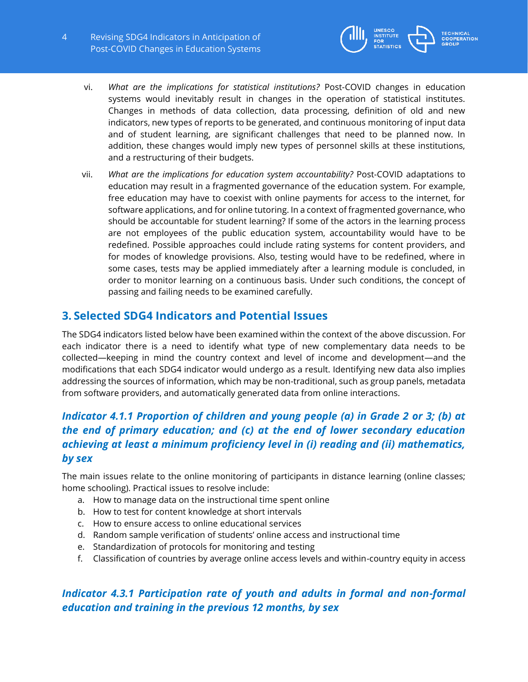

- vi. *What are the implications for statistical institutions?* Post-COVID changes in education systems would inevitably result in changes in the operation of statistical institutes. Changes in methods of data collection, data processing, definition of old and new indicators, new types of reports to be generated, and continuous monitoring of input data and of student learning, are significant challenges that need to be planned now. In addition, these changes would imply new types of personnel skills at these institutions, and a restructuring of their budgets.
- vii. *What are the implications for education system accountability?* Post-COVID adaptations to education may result in a fragmented governance of the education system. For example, free education may have to coexist with online payments for access to the internet, for software applications, and for online tutoring. In a context of fragmented governance, who should be accountable for student learning? If some of the actors in the learning process are not employees of the public education system, accountability would have to be redefined. Possible approaches could include rating systems for content providers, and for modes of knowledge provisions. Also, testing would have to be redefined, where in some cases, tests may be applied immediately after a learning module is concluded, in order to monitor learning on a continuous basis. Under such conditions, the concept of passing and failing needs to be examined carefully.

## **3. Selected SDG4 Indicators and Potential Issues**

The SDG4 indicators listed below have been examined within the context of the above discussion. For each indicator there is a need to identify what type of new complementary data needs to be collected—keeping in mind the country context and level of income and development—and the modifications that each SDG4 indicator would undergo as a result. Identifying new data also implies addressing the sources of information, which may be non-traditional, such as group panels, metadata from software providers, and automatically generated data from online interactions.

# *Indicator 4.1.1 Proportion of children and young people (a) in Grade 2 or 3; (b) at the end of primary education; and (c) at the end of lower secondary education achieving at least a minimum proficiency level in (i) reading and (ii) mathematics, by sex*

The main issues relate to the online monitoring of participants in distance learning (online classes; home schooling). Practical issues to resolve include:

- a. How to manage data on the instructional time spent online
- b. How to test for content knowledge at short intervals
- c. How to ensure access to online educational services
- d. Random sample verification of students' online access and instructional time
- e. Standardization of protocols for monitoring and testing
- f. Classification of countries by average online access levels and within-country equity in access

## *Indicator 4.3.1 Participation rate of youth and adults in formal and non-formal education and training in the previous 12 months, by sex*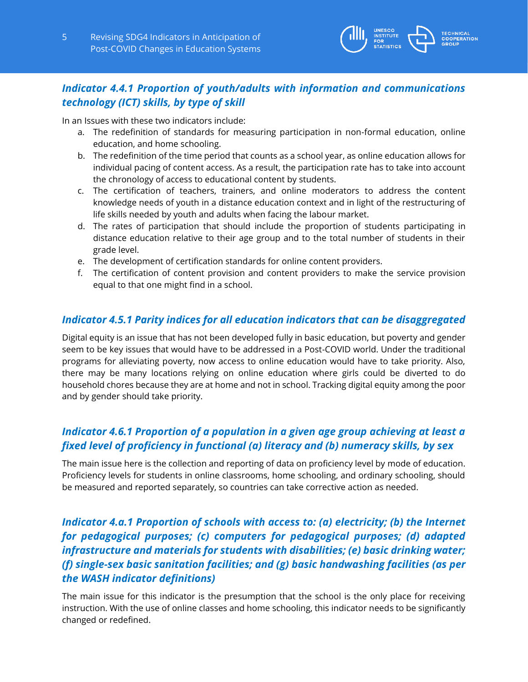

### *Indicator 4.4.1 Proportion of youth/adults with information and communications technology (ICT) skills, by type of skill*

In an Issues with these two indicators include:

- a. The redefinition of standards for measuring participation in non-formal education, online education, and home schooling.
- b. The redefinition of the time period that counts as a school year, as online education allows for individual pacing of content access. As a result, the participation rate has to take into account the chronology of access to educational content by students.
- c. The certification of teachers, trainers, and online moderators to address the content knowledge needs of youth in a distance education context and in light of the restructuring of life skills needed by youth and adults when facing the labour market.
- d. The rates of participation that should include the proportion of students participating in distance education relative to their age group and to the total number of students in their grade level.
- e. The development of certification standards for online content providers.
- f. The certification of content provision and content providers to make the service provision equal to that one might find in a school.

#### *Indicator 4.5.1 Parity indices for all education indicators that can be disaggregated*

Digital equity is an issue that has not been developed fully in basic education, but poverty and gender seem to be key issues that would have to be addressed in a Post-COVID world. Under the traditional programs for alleviating poverty, now access to online education would have to take priority. Also, there may be many locations relying on online education where girls could be diverted to do household chores because they are at home and not in school. Tracking digital equity among the poor and by gender should take priority.

### *Indicator 4.6.1 Proportion of a population in a given age group achieving at least a fixed level of proficiency in functional (a) literacy and (b) numeracy skills, by sex*

The main issue here is the collection and reporting of data on proficiency level by mode of education. Proficiency levels for students in online classrooms, home schooling, and ordinary schooling, should be measured and reported separately, so countries can take corrective action as needed.

# *Indicator 4.a.1 Proportion of schools with access to: (a) electricity; (b) the Internet for pedagogical purposes; (c) computers for pedagogical purposes; (d) adapted infrastructure and materials for students with disabilities; (e) basic drinking water; (f) single-sex basic sanitation facilities; and (g) basic handwashing facilities (as per the WASH indicator definitions)*

The main issue for this indicator is the presumption that the school is the only place for receiving instruction. With the use of online classes and home schooling, this indicator needs to be significantly changed or redefined.